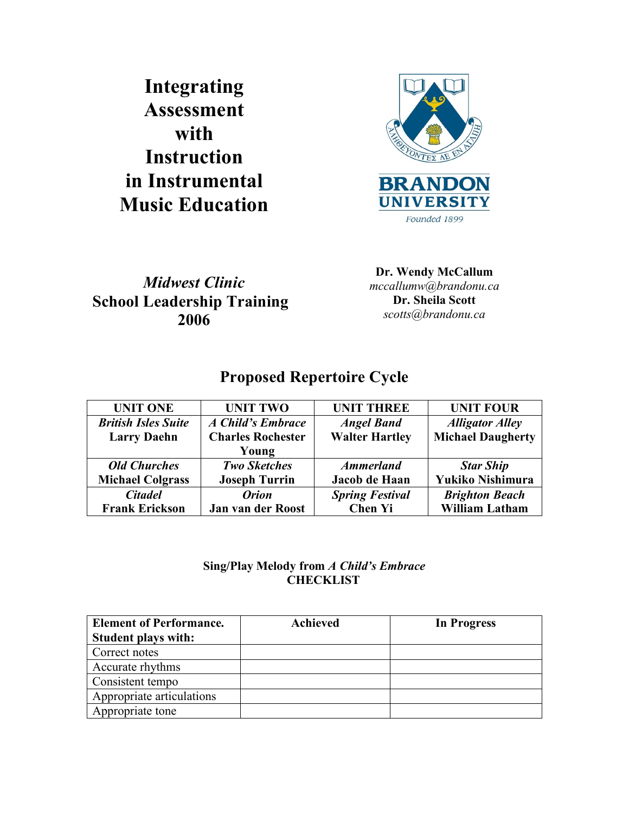**Integrating Assessment with Instruction in Instrumental Music Education**



*Midwest Clinic* **School Leadership Training 2006**

**Dr. Wendy McCallum** *mccallumw@brandonu.ca* **Dr. Sheila Scott** *scotts@brandonu.ca*

# **Proposed Repertoire Cycle**

| <b>UNIT ONE</b>            | <b>UNIT TWO</b>          | <b>UNIT THREE</b>      | <b>UNIT FOUR</b>         |
|----------------------------|--------------------------|------------------------|--------------------------|
| <b>British Isles Suite</b> | A Child's Embrace        | <b>Angel Band</b>      | <b>Alligator Alley</b>   |
| <b>Larry Daehn</b>         | <b>Charles Rochester</b> | <b>Walter Hartley</b>  | <b>Michael Daugherty</b> |
|                            | Young                    |                        |                          |
| <b>Old Churches</b>        | <b>Two Sketches</b>      | <b>Ammerland</b>       | <b>Star Ship</b>         |
| <b>Michael Colgrass</b>    | <b>Joseph Turrin</b>     | Jacob de Haan          | Yukiko Nishimura         |
| <b>Citadel</b>             | <i><b>Orion</b></i>      | <b>Spring Festival</b> | <b>Brighton Beach</b>    |
| <b>Frank Erickson</b>      | Jan van der Roost        | <b>Chen Yi</b>         | <b>William Latham</b>    |

## **Sing/Play Melody from** *A Child's Embrace* **CHECKLIST**

| <b>Element of Performance.</b> | <b>Achieved</b> | In Progress |
|--------------------------------|-----------------|-------------|
| <b>Student plays with:</b>     |                 |             |
| Correct notes                  |                 |             |
| Accurate rhythms               |                 |             |
| Consistent tempo               |                 |             |
| Appropriate articulations      |                 |             |
| Appropriate tone               |                 |             |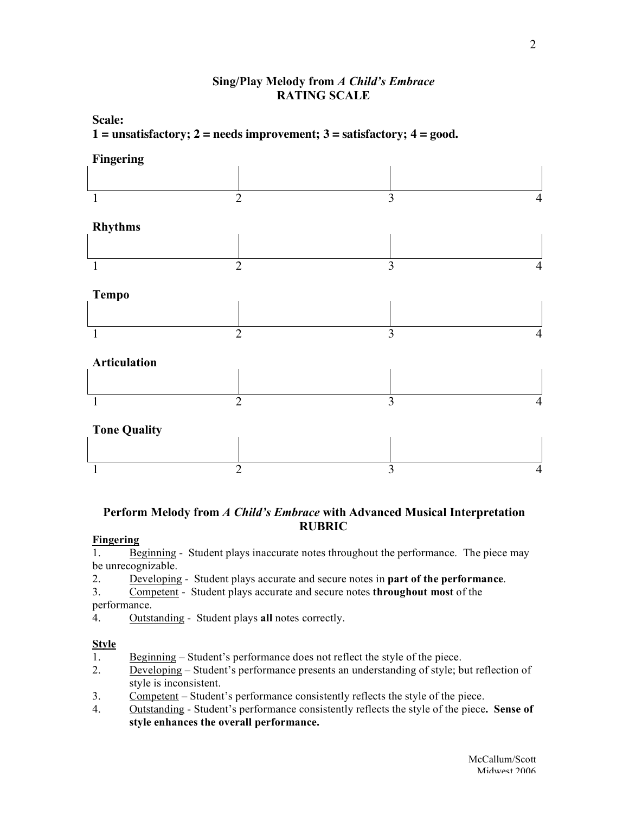### **Sing/Play Melody from** *A Child's Embrace* **RATING SCALE**

**Scale: 1 = unsatisfactory; 2 = needs improvement; 3 = satisfactory; 4 = good.**



### **Perform Melody from** *A Child's Embrace* **with Advanced Musical Interpretation RUBRIC**

### **Fingering**

1. Beginning - Student plays inaccurate notes throughout the performance. The piece may be unrecognizable.

- 2. Developing Student plays accurate and secure notes in **part of the performance**.
- 3. Competent Student plays accurate and secure notes **throughout most** of the performance.
- 4. Outstanding Student plays **all** notes correctly.

### **Style**

- 1. Beginning Student's performance does not reflect the style of the piece.
- 2. Developing Student's performance presents an understanding of style; but reflection of style is inconsistent.
- 3. Competent Student's performance consistently reflects the style of the piece.
- 4. Outstanding Student's performance consistently reflects the style of the piece**. Sense of style enhances the overall performance.**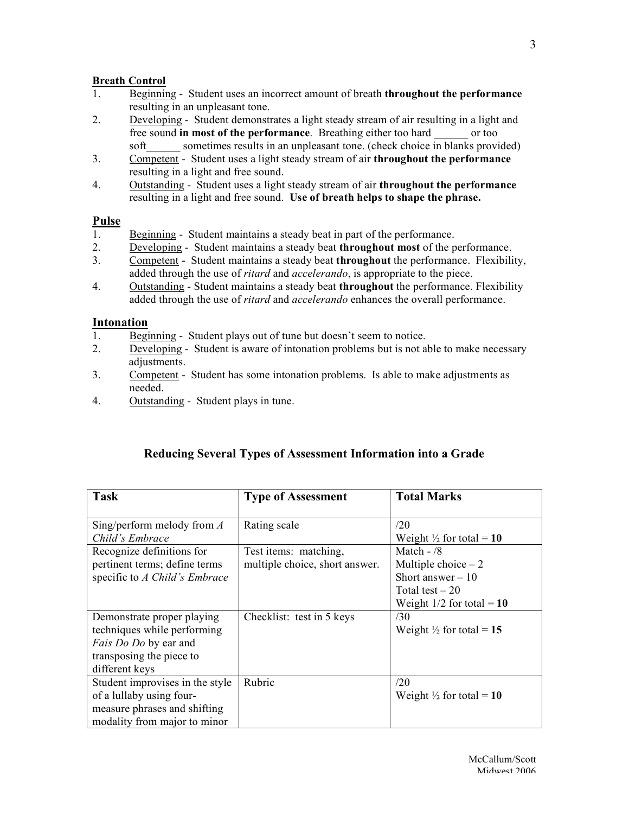#### **Breath Control**

- 1. Beginning Student uses an incorrect amount of breath **throughout the performance** resulting in an unpleasant tone.
- 2. Developing Student demonstrates a light steady stream of air resulting in a light and free sound **in most of the performance**. Breathing either too hard \_\_\_\_\_\_ or too soft sometimes results in an unpleasant tone. (check choice in blanks provided)
- 3. Competent Student uses a light steady stream of air **throughout the performance** resulting in a light and free sound.
- 4. Outstanding Student uses a light steady stream of air **throughout the performance** resulting in a light and free sound. **Use of breath helps to shape the phrase.**

#### **Pulse**

- 1. Beginning Student maintains a steady beat in part of the performance.
- 2. Developing Student maintains a steady beat **throughout most** of the performance.
- 3. Competent Student maintains a steady beat **throughout** the performance. Flexibility, added through the use of *ritard* and *accelerando*, is appropriate to the piece.
- 4. Outstanding Student maintains a steady beat **throughout** the performance. Flexibility added through the use of *ritard* and *accelerando* enhances the overall performance.

#### **Intonation**

- 1. Beginning Student plays out of tune but doesn't seem to notice.
- 2. Developing Student is aware of intonation problems but is not able to make necessary adjustments.
- 3. Competent Student has some intonation problems. Is able to make adjustments as needed.
- 4. Outstanding Student plays in tune.

| <b>Task</b>                                                                                                                             | <b>Type of Assessment</b>                               | <b>Total Marks</b>                                                                                            |
|-----------------------------------------------------------------------------------------------------------------------------------------|---------------------------------------------------------|---------------------------------------------------------------------------------------------------------------|
| Sing/perform melody from $\Lambda$<br>Child's Embrace                                                                                   | Rating scale                                            | /20<br>Weight $\frac{1}{2}$ for total = 10                                                                    |
| Recognize definitions for<br>pertinent terms; define terms<br>specific to A Child's Embrace                                             | Test items: matching,<br>multiple choice, short answer. | Match $-$ /8<br>Multiple choice $-2$<br>Short answer $-10$<br>Total test $-20$<br>Weight $1/2$ for total = 10 |
| Demonstrate proper playing<br>techniques while performing<br><i>Fais Do Do</i> by ear and<br>transposing the piece to<br>different keys | Checklist: test in 5 keys                               | /30<br>Weight $\frac{1}{2}$ for total = 15                                                                    |
| Student improvises in the style<br>of a lullaby using four-<br>measure phrases and shifting<br>modality from major to minor             | Rubric                                                  | /20<br>Weight $\frac{1}{2}$ for total = 10                                                                    |

## **Reducing Several Types of Assessment Information into a Grade**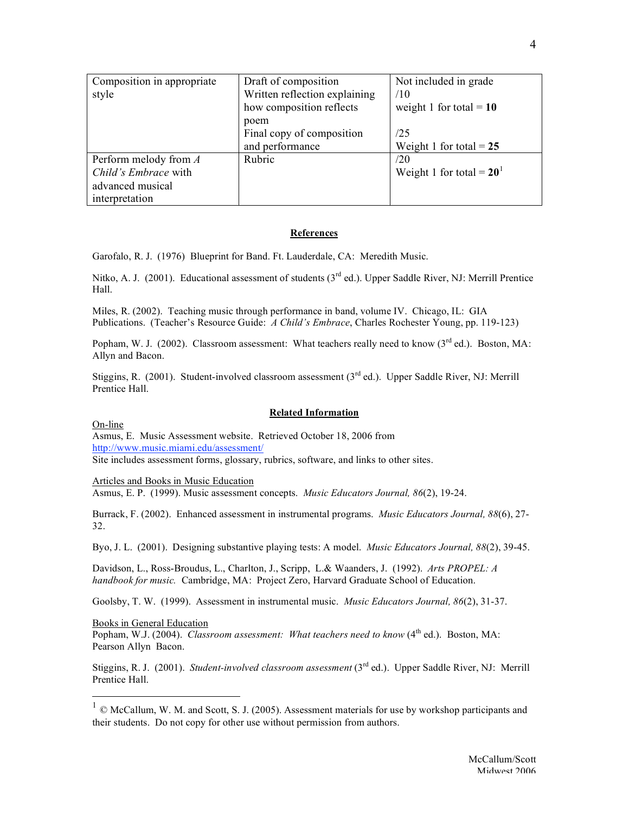| Composition in appropriate | Draft of composition          | Not included in grade       |
|----------------------------|-------------------------------|-----------------------------|
| style                      | Written reflection explaining | /10                         |
|                            | how composition reflects      | weight 1 for total = $10$   |
|                            | poem                          |                             |
|                            | Final copy of composition     | /25                         |
|                            | and performance               | Weight 1 for total $= 25$   |
| Perform melody from A      | Rubric                        | /20                         |
| Child's Embrace with       |                               | Weight 1 for total = $20^1$ |
| advanced musical           |                               |                             |
| interpretation             |                               |                             |

#### **References**

Garofalo, R. J. (1976) Blueprint for Band. Ft. Lauderdale, CA: Meredith Music.

Nitko, A. J. (2001). Educational assessment of students (3<sup>rd</sup> ed.). Upper Saddle River, NJ: Merrill Prentice Hall.

Miles, R. (2002). Teaching music through performance in band, volume IV. Chicago, IL: GIA Publications. (Teacher's Resource Guide: *A Child's Embrace*, Charles Rochester Young, pp. 119-123)

Popham, W. J. (2002). Classroom assessment: What teachers really need to know  $3^{rd}$  ed.). Boston, MA: Allyn and Bacon.

Stiggins, R. (2001). Student-involved classroom assessment  $3^{rd}$  ed.). Upper Saddle River, NJ: Merrill Prentice Hall.

#### **Related Information**

On-line

Asmus, E. Music Assessment website. Retrieved October 18, 2006 from http://www.music.miami.edu/assessment/ Site includes assessment forms, glossary, rubrics, software, and links to other sites.

Articles and Books in Music Education

Asmus, E. P. (1999). Music assessment concepts. *Music Educators Journal, 86*(2), 19-24.

Burrack, F. (2002). Enhanced assessment in instrumental programs. *Music Educators Journal, 88*(6), 27- 32.

Byo, J. L. (2001). Designing substantive playing tests: A model. *Music Educators Journal, 88*(2), 39-45.

Davidson, L., Ross-Broudus, L., Charlton, J., Scripp, L.& Waanders, J. (1992). *Arts PROPEL: A handbook for music.* Cambridge, MA: Project Zero, Harvard Graduate School of Education.

Goolsby, T. W. (1999). Assessment in instrumental music. *Music Educators Journal, 86*(2), 31-37.

Books in General Education

Popham, W.J. (2004). *Classroom assessment: What teachers need to know* (4th ed.). Boston, MA: Pearson Allyn Bacon.

Stiggins, R. J. (2001). *Student-involved classroom assessment* (3rd ed.). Upper Saddle River, NJ: Merrill Prentice Hall.

 $1 \odot$  McCallum, W. M. and Scott, S. J. (2005). Assessment materials for use by workshop participants and their students. Do not copy for other use without permission from authors.